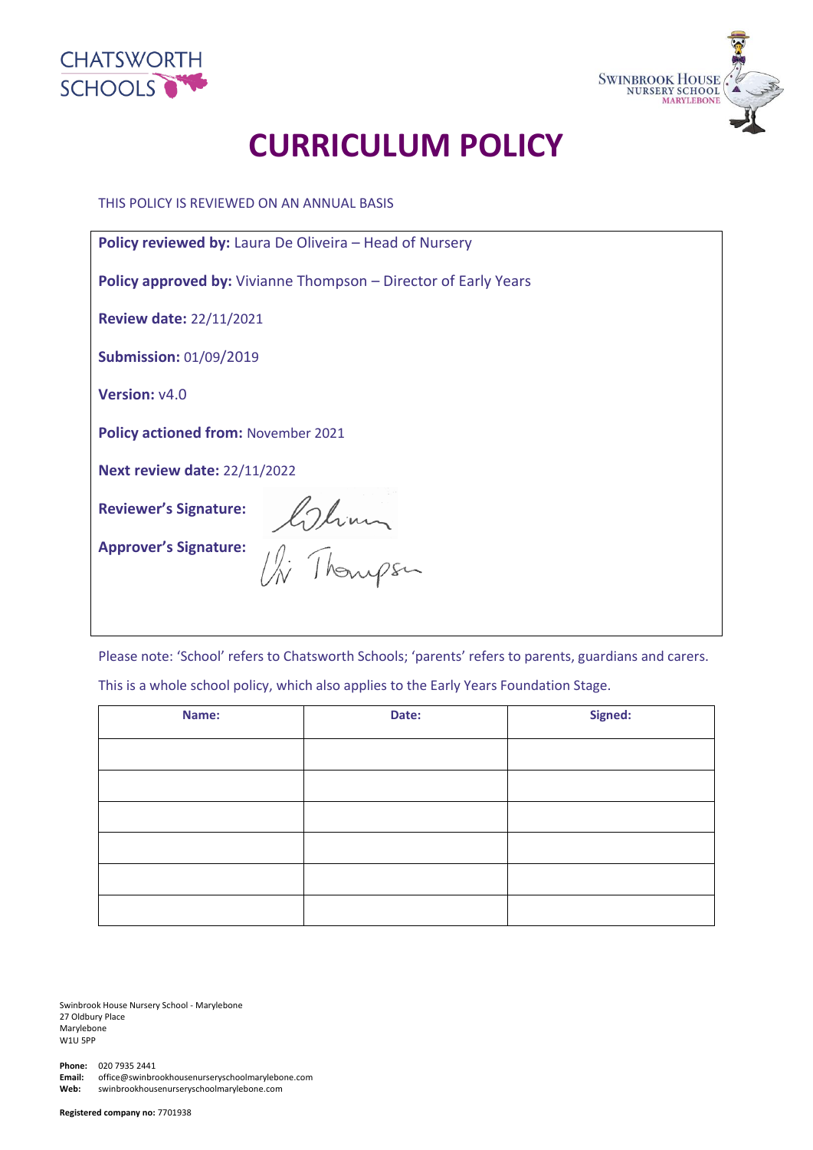



# **CURRICULUM POLICY**

THIS POLICY IS REVIEWED ON AN ANNUAL BASIS

| <b>Policy reviewed by:</b> Laura De Oliveira – Head of Nursery         |  |  |  |
|------------------------------------------------------------------------|--|--|--|
| <b>Policy approved by:</b> Vivianne Thompson – Director of Early Years |  |  |  |
| <b>Review date: 22/11/2021</b>                                         |  |  |  |
| <b>Submission: 01/09/2019</b>                                          |  |  |  |
| <b>Version: v4.0</b>                                                   |  |  |  |
| <b>Policy actioned from: November 2021</b>                             |  |  |  |
| <b>Next review date: 22/11/2022</b>                                    |  |  |  |
|                                                                        |  |  |  |
| Reviewer's Signature: Colinian<br>Approver's Signature: Changes        |  |  |  |

Please note: 'School' refers to Chatsworth Schools; 'parents' refers to parents, guardians and carers. This is a whole school policy, which also applies to the Early Years Foundation Stage.

| Name: | Date: | Signed: |  |
|-------|-------|---------|--|
|       |       |         |  |
|       |       |         |  |
|       |       |         |  |
|       |       |         |  |
|       |       |         |  |
|       |       |         |  |

Swinbrook House Nursery School - Marylebone 27 Oldbury Place Marylebone W1U 5PP

**Phone:** 020 7935 2441 **Email:** office@swinbrookhousenurseryschoolmarylebone.com **Web:** swinbrookhousenurseryschoolmarylebone.com

**Registered company no:** 7701938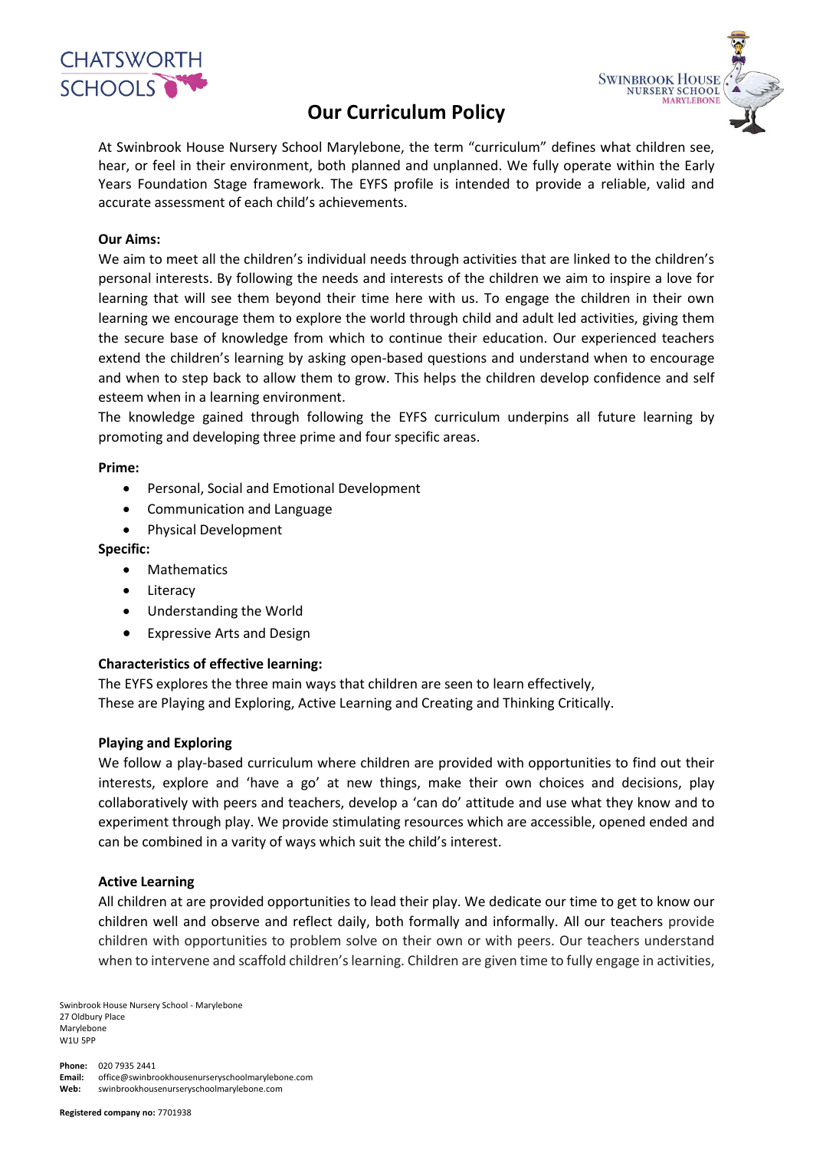

# **Our Curriculum Policy**



At Swinbrook House Nursery School Marylebone, the term "curriculum" defines what children see, hear, or feel in their environment, both planned and unplanned. We fully operate within the Early Years Foundation Stage framework. The EYFS profile is intended to provide a reliable, valid and accurate assessment of each child's achievements.

# **Our Aims:**

We aim to meet all the children's individual needs through activities that are linked to the children's personal interests. By following the needs and interests of the children we aim to inspire a love for learning that will see them beyond their time here with us. To engage the children in their own learning we encourage them to explore the world through child and adult led activities, giving them the secure base of knowledge from which to continue their education. Our experienced teachers extend the children's learning by asking open-based questions and understand when to encourage and when to step back to allow them to grow. This helps the children develop confidence and self esteem when in a learning environment.

The knowledge gained through following the EYFS curriculum underpins all future learning by promoting and developing three prime and four specific areas.

#### **Prime:**

- Personal, Social and Emotional Development
- Communication and Language
- Physical Development

#### **Specific:**

- Mathematics
- Literacy
- Understanding the World
- Expressive Arts and Design

#### **Characteristics of effective learning:**

The EYFS explores the three main ways that children are seen to learn effectively, These are Playing and Exploring, Active Learning and Creating and Thinking Critically.

#### **Playing and Exploring**

We follow a play-based curriculum where children are provided with opportunities to find out their interests, explore and 'have a go' at new things, make their own choices and decisions, play collaboratively with peers and teachers, develop a 'can do' attitude and use what they know and to experiment through play. We provide stimulating resources which are accessible, opened ended and can be combined in a varity of ways which suit the child's interest.

#### **Active Learning**

All children at are provided opportunities to lead their play. We dedicate our time to get to know our children well and observe and reflect daily, both formally and informally. All our teachers provide children with opportunities to problem solve on their own or with peers. Our teachers understand when to intervene and scaffold children's learning. Children are given time to fully engage in activities,

Swinbrook House Nursery School - Marylebone 27 Oldbury Place Marylebone W1U 5PP

**Phone:** 020 7935 2441 **Email:** office@swinbrookhousenurseryschoolmarylebone.com **Web:** swinbrookhousenurseryschoolmarylebone.com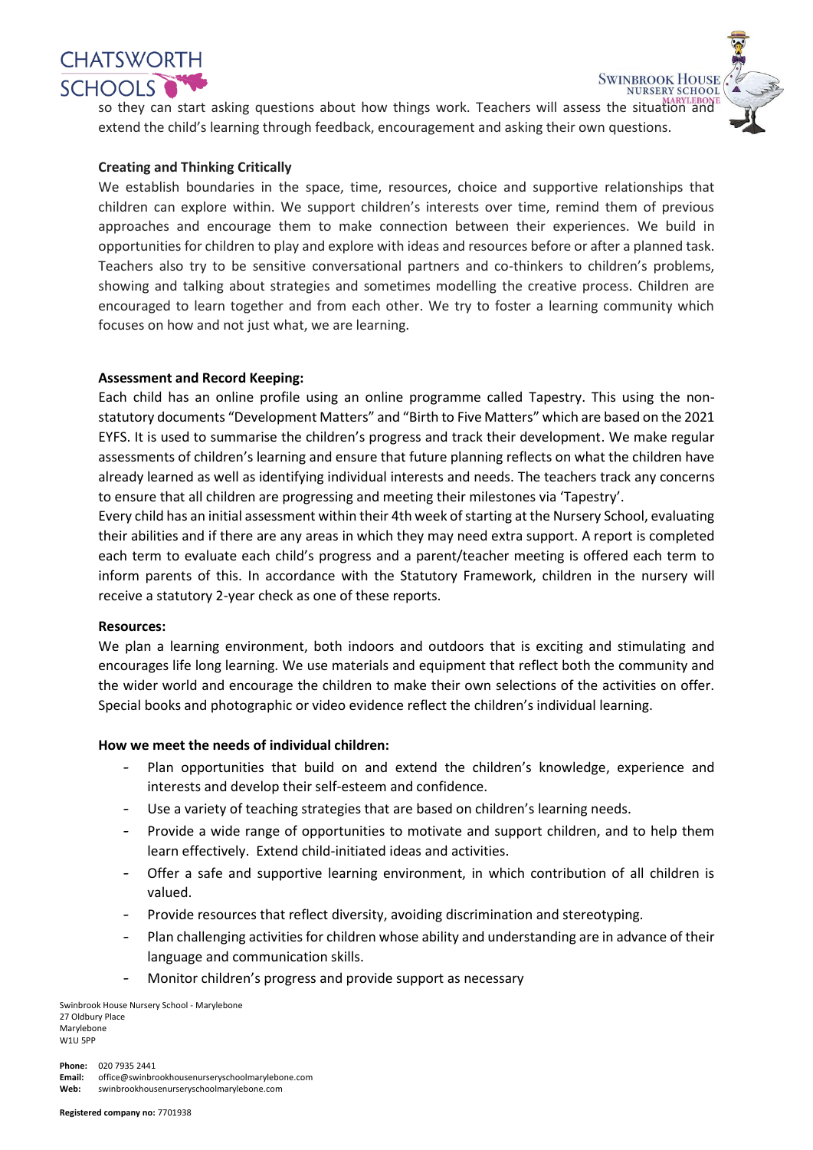

so they can start asking questions about how things work. Teachers will assess the situation and extend the child's learning through feedback, encouragement and asking their own questions.

**SWINBROOK HOUSE** 

**NURSERY SCHOOL** 

## **Creating and Thinking Critically**

We establish boundaries in the space, time, resources, choice and supportive relationships that children can explore within. We support children's interests over time, remind them of previous approaches and encourage them to make connection between their experiences. We build in opportunities for children to play and explore with ideas and resources before or after a planned task. Teachers also try to be sensitive conversational partners and co-thinkers to children's problems, showing and talking about strategies and sometimes modelling the creative process. Children are encouraged to learn together and from each other. We try to foster a learning community which focuses on how and not just what, we are learning.

## **Assessment and Record Keeping:**

Each child has an online profile using an online programme called Tapestry. This using the nonstatutory documents "Development Matters" and "Birth to Five Matters" which are based on the 2021 EYFS. It is used to summarise the children's progress and track their development. We make regular assessments of children's learning and ensure that future planning reflects on what the children have already learned as well as identifying individual interests and needs. The teachers track any concerns to ensure that all children are progressing and meeting their milestones via 'Tapestry'.

Every child has an initial assessment within their 4th week of starting at the Nursery School, evaluating their abilities and if there are any areas in which they may need extra support. A report is completed each term to evaluate each child's progress and a parent/teacher meeting is offered each term to inform parents of this. In accordance with the Statutory Framework, children in the nursery will receive a statutory 2-year check as one of these reports.

#### **Resources:**

We plan a learning environment, both indoors and outdoors that is exciting and stimulating and encourages life long learning. We use materials and equipment that reflect both the community and the wider world and encourage the children to make their own selections of the activities on offer. Special books and photographic or video evidence reflect the children's individual learning.

#### **How we meet the needs of individual children:**

- Plan opportunities that build on and extend the children's knowledge, experience and interests and develop their self-esteem and confidence.
- Use a variety of teaching strategies that are based on children's learning needs.
- Provide a wide range of opportunities to motivate and support children, and to help them learn effectively. Extend child-initiated ideas and activities.
- Offer a safe and supportive learning environment, in which contribution of all children is valued.
- Provide resources that reflect diversity, avoiding discrimination and stereotyping.
- Plan challenging activities for children whose ability and understanding are in advance of their language and communication skills.
- Monitor children's progress and provide support as necessary

Swinbrook House Nursery School - Marylebone 27 Oldbury Place Marylebone W1U 5PP

**Phone:** 020 7935 2441 **Email:** office@swinbrookhousenurseryschoolmarylebone.com **Web:** swinbrookhousenurseryschoolmarylebone.com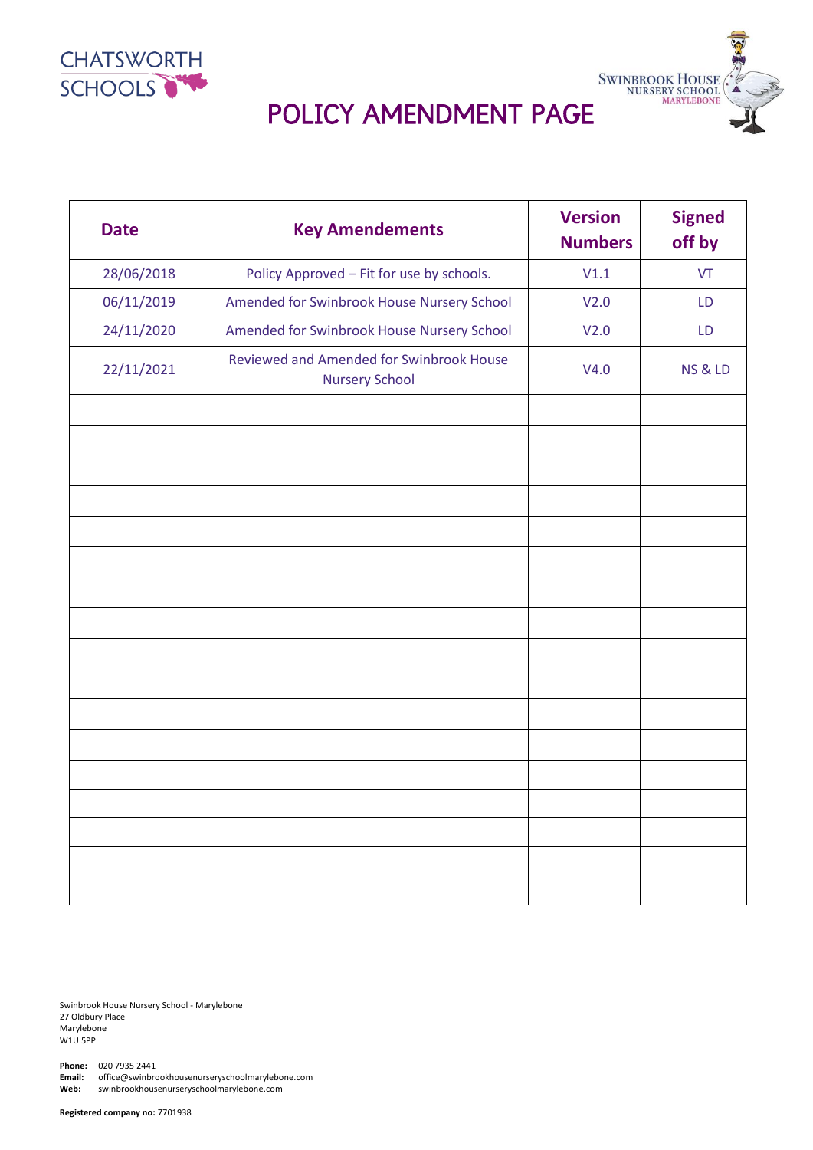



| <b>Date</b> | <b>Key Amendements</b>                                            | <b>Version</b><br><b>Numbers</b> | <b>Signed</b><br>off by |
|-------------|-------------------------------------------------------------------|----------------------------------|-------------------------|
| 28/06/2018  | Policy Approved - Fit for use by schools.                         | V1.1                             | <b>VT</b>               |
| 06/11/2019  | Amended for Swinbrook House Nursery School                        | V <sub>2.0</sub>                 | LD                      |
| 24/11/2020  | Amended for Swinbrook House Nursery School                        | V <sub>2.0</sub>                 | LD                      |
| 22/11/2021  | Reviewed and Amended for Swinbrook House<br><b>Nursery School</b> | V4.0                             | <b>NS &amp; LD</b>      |
|             |                                                                   |                                  |                         |
|             |                                                                   |                                  |                         |
|             |                                                                   |                                  |                         |
|             |                                                                   |                                  |                         |
|             |                                                                   |                                  |                         |
|             |                                                                   |                                  |                         |
|             |                                                                   |                                  |                         |
|             |                                                                   |                                  |                         |
|             |                                                                   |                                  |                         |
|             |                                                                   |                                  |                         |
|             |                                                                   |                                  |                         |
|             |                                                                   |                                  |                         |
|             |                                                                   |                                  |                         |
|             |                                                                   |                                  |                         |
|             |                                                                   |                                  |                         |
|             |                                                                   |                                  |                         |
|             |                                                                   |                                  |                         |
|             |                                                                   |                                  |                         |

Swinbrook House Nursery School - Marylebone 27 Oldbury Place Marylebone W1U 5PP

**Phone:** 020 7935 2441<br>**Email:** office@swinbro **Email:** office@swinbrookhousenurseryschoolmarylebone.com **Web:** swinbrookhousenurseryschoolmarylebone.com